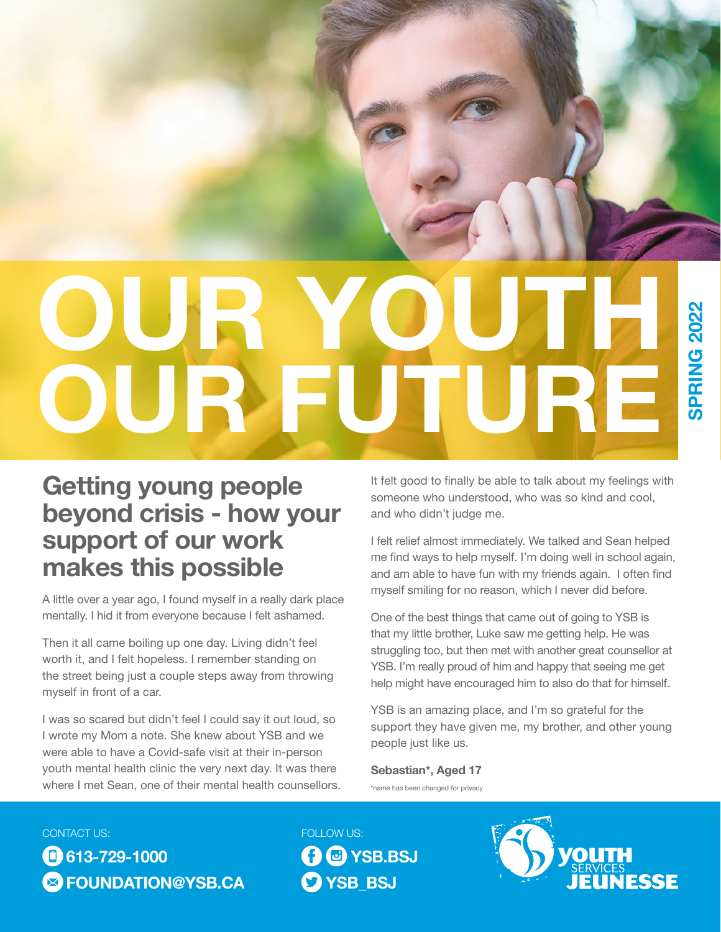# OUR YOUTH OUR FUTURE

## Getting young people beyond crisis - how your support of our work makes this possible

A little over a year ago, I found myself in a really dark place mentally. I hid it from everyone because I felt ashamed.

Then it all came boiling up one day. Living didn't feel worth it, and I felt hopeless. I remember standing on the street being just a couple steps away from throwing myself in front of a car.

I was so scared but didn't feel I could say it out loud, so I wrote my Mom a note. She knew about YSB and we were able to have a Covid-safe visit at their in-person youth mental health clinic the very next day. It was there where I met Sean, one of their mental health counsellors. It felt good to finally be able to talk about my feelings with someone who understood, who was so kind and cool, and who didn't judge me.

I felt relief almost immediately. We talked and Sean helped me find ways to help myself. I'm doing well in school again, and am able to have fun with my friends again. I often find myself smiling for no reason, which I never did before.

One of the best things that came out of going to YSB is that my little brother, Luke saw me getting help. He was struggling too, but then met with another great counsellor at YSB. I'm really proud of him and happy that seeing me get help might have encouraged him to also do that for himself.

YSB is an amazing place, and I'm so grateful for the support they have given me, my brother, and other young people just like us.

Sebastian\*, Aged 17 \*name has been changed for privacy

#### CONTACT US:

**613-729-1000 & [FOUNDATION@YSB.CA](mailto:foundation@ysb.ca)**  FOLLOW US: **O** @ YSB.BSJ **O**YSB\_BSJ

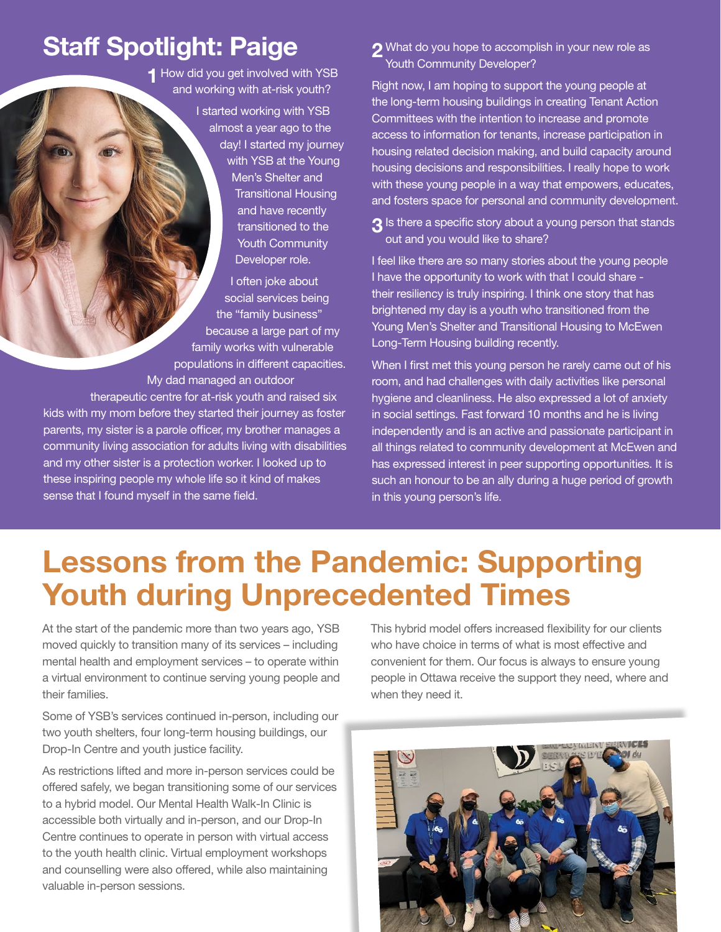## Staff Spotlight: Paige

**1** How did you get involved with YSB and working with at-risk youth?

> I started working with YSB almost a year ago to the day! I started my journey with YSB at the Young Men's Shelter and Transitional Housing and have recently transitioned to the Youth Community Developer role.

I often joke about social services being the "family business" because a large part of my family works with vulnerable populations in different capacities. My dad managed an outdoor therapeutic centre for at-risk youth and raised six

kids with my mom before they started their journey as foster parents, my sister is a parole officer, my brother manages a community living association for adults living with disabilities and my other sister is a protection worker. I looked up to these inspiring people my whole life so it kind of makes sense that I found myself in the same field.

2 What do you hope to accomplish in your new role as Youth Community Developer?

Right now, I am hoping to support the young people at the long-term housing buildings in creating Tenant Action Committees with the intention to increase and promote access to information for tenants, increase participation in housing related decision making, and build capacity around housing decisions and responsibilities. I really hope to work with these young people in a way that empowers, educates, and fosters space for personal and community development.

3 Is there a specific story about a young person that stands out and you would like to share?

I feel like there are so many stories about the young people I have the opportunity to work with that I could share their resiliency is truly inspiring. I think one story that has brightened my day is a youth who transitioned from the Young Men's Shelter and Transitional Housing to McEwen Long-Term Housing building recently.

When I first met this young person he rarely came out of his room, and had challenges with daily activities like personal hygiene and cleanliness. He also expressed a lot of anxiety in social settings. Fast forward 10 months and he is living independently and is an active and passionate participant in all things related to community development at McEwen and has expressed interest in peer supporting opportunities. It is such an honour to be an ally during a huge period of growth in this young person's life.

# Lessons from the Pandemic: Supporting Youth during Unprecedented Times

At the start of the pandemic more than two years ago, YSB moved quickly to transition many of its services – including mental health and employment services – to operate within a virtual environment to continue serving young people and their families.

Some of YSB's services continued in-person, including our two youth shelters, four long-term housing buildings, our Drop-In Centre and youth justice facility.

As restrictions lifted and more in-person services could be offered safely, we began transitioning some of our services to a hybrid model. Our Mental Health Walk-In Clinic is accessible both virtually and in-person, and our Drop-In Centre continues to operate in person with virtual access to the youth health clinic. Virtual employment workshops and counselling were also offered, while also maintaining valuable in-person sessions.

This hybrid model offers increased flexibility for our clients who have choice in terms of what is most effective and convenient for them. Our focus is always to ensure young people in Ottawa receive the support they need, where and when they need it.

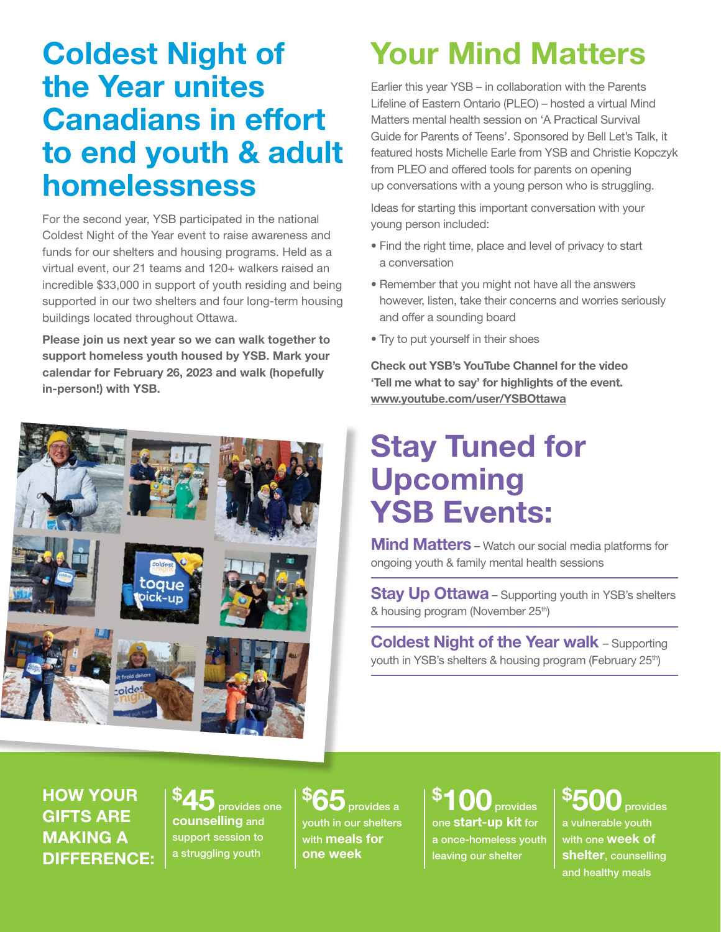# Coldest Night of the Year unites Canadians in effort to end youth & adult homelessness

For the second year, YSB participated in the national Coldest Night of the Year event to raise awareness and funds for our shelters and housing programs. Held as a virtual event, our 21 teams and 120+ walkers raised an incredible \$33,000 in support of youth residing and being supported in our two shelters and four long-term housing buildings located throughout Ottawa.

Please join us next year so we can walk together to support homeless youth housed by YSB. Mark your calendar for February 26, 2023 and walk (hopefully in-person!) with YSB.



# Your Mind Matters

Earlier this year YSB – in collaboration with the Parents Lifeline of Eastern Ontario (PLEO) – hosted a virtual Mind Matters mental health session on 'A Practical Survival Guide for Parents of Teens'. Sponsored by Bell Let's Talk, it featured hosts Michelle Earle from YSB and Christie Kopczyk from PLEO and offered tools for parents on opening up conversations with a young person who is struggling.

Ideas for starting this important conversation with your young person included:

- Find the right time, place and level of privacy to start a conversation
- Remember that you might not have all the answers however, listen, take their concerns and worries seriously and offer a sounding board
- Try to put yourself in their shoes

Check out YSB's YouTube Channel for the video 'Tell me what to say' for highlights of the event. <www.youtube.com/user/YSBOttawa>

# Stay Tuned for Upcoming **YSB Events:**

**Mind Matters** – Watch our social media platforms for ongoing youth & family mental health sessions

**Stay Up Ottawa** – Supporting youth in YSB's shelters & housing program (November 25<sup>th</sup>)

Coldest Night of the Year walk – Supporting youth in YSB's shelters & housing program (February 25<sup>th</sup>)

HOW YOUR GIFTS ARE MAKING A DIFFERENCE:

\$ provides one counselling and support session to a struggling youth

\$ provides a youth in our shelters with **meals for** one week

\$ **provides** one start-up kit for a once-homeless youth leaving our shelter

\$ provides a vulnerable youth with one **week of** shelter, counselling and healthy meals